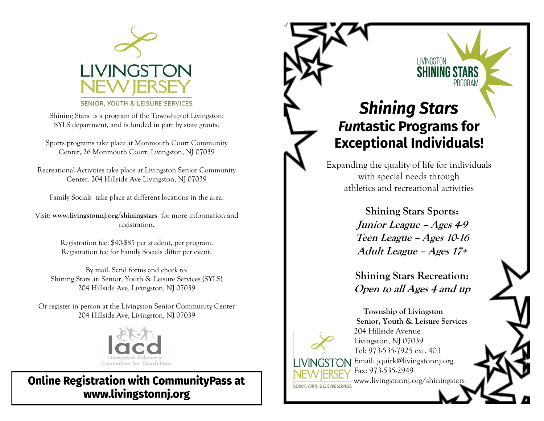

SENIOR, YOUTH & LEISURE SERVICES

Shining Stars is a program of the Township of Livingston: SYLS department, and is funded in part by state grants.

Sports programs take place at Monmouth Court Community Center, 26 Monmouth Court, Livingston, NJ 07039

Recreational Activities take place at Livingston Senior Community Center. 204 Hillside Ave Livingston, NJ 07039

Family Socials take place at different locations in the area.

Visit: **www.livingstonnj.org/shiningstars** for more information and registration.

> Registration fee: \$40-\$85 per student, per program. Registration fee for Family Socials differ per event.

By mail: Send forms and check to: Shining Stars at: Senior, Youth & Leisure Services (SYLS) 204 Hillside Ave, Livingston, NJ 07039

Or register in person at the Livingston Senior Community Center 204 Hillside Ave, Livingston, NJ 07039



**Online Registration with CommunityPass at** www.livingstonnj.org

# **Shining Stars Funtastic Programs for Exceptional Individuals!**

LIVINGSTON **SHINING ST** 

PROGRAI

Expanding the quality of life for individuals with special needs through athletics and recreational activities

> **Shining Stars Sports: Junior League – Ages 4-9 Teen League – Ages 10-16 Adult League – Ages 17+**

**Shining Stars Recreation: Open to all Ages 4 and up**



 **Township of Livingston Senior, Youth & Leisure Services** 204 Hillside Avenue Livingston, NJ 07039 Tel: 973-535-7925 ext. 403 Email: jquirk@livingstonnj.org Fax: 973-535-2949 www.livingstonnj.org/shiningstars í